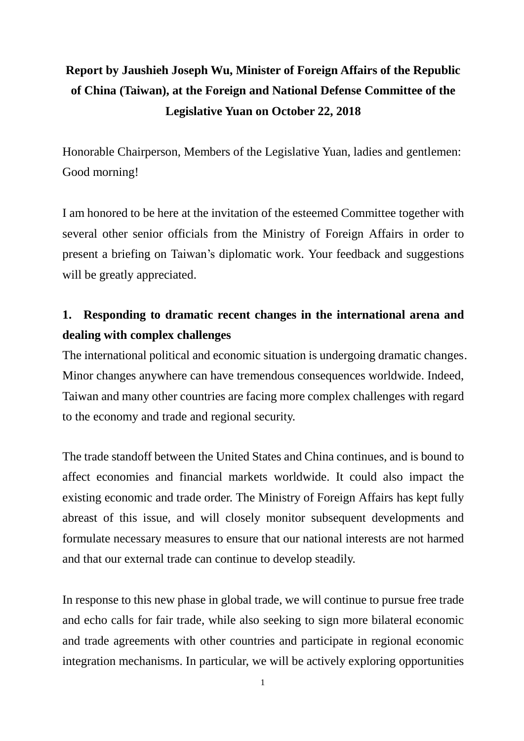# **Report by Jaushieh Joseph Wu, Minister of Foreign Affairs of the Republic of China (Taiwan), at the Foreign and National Defense Committee of the Legislative Yuan on October 22, 2018**

Honorable Chairperson, Members of the Legislative Yuan, ladies and gentlemen: Good morning!

I am honored to be here at the invitation of the esteemed Committee together with several other senior officials from the Ministry of Foreign Affairs in order to present a briefing on Taiwan's diplomatic work. Your feedback and suggestions will be greatly appreciated.

## **1. Responding to dramatic recent changes in the international arena and dealing with complex challenges**

The international political and economic situation is undergoing dramatic changes. Minor changes anywhere can have tremendous consequences worldwide. Indeed, Taiwan and many other countries are facing more complex challenges with regard to the economy and trade and regional security.

The trade standoff between the United States and China continues, and is bound to affect economies and financial markets worldwide. It could also impact the existing economic and trade order. The Ministry of Foreign Affairs has kept fully abreast of this issue, and will closely monitor subsequent developments and formulate necessary measures to ensure that our national interests are not harmed and that our external trade can continue to develop steadily.

In response to this new phase in global trade, we will continue to pursue free trade and echo calls for fair trade, while also seeking to sign more bilateral economic and trade agreements with other countries and participate in regional economic integration mechanisms. In particular, we will be actively exploring opportunities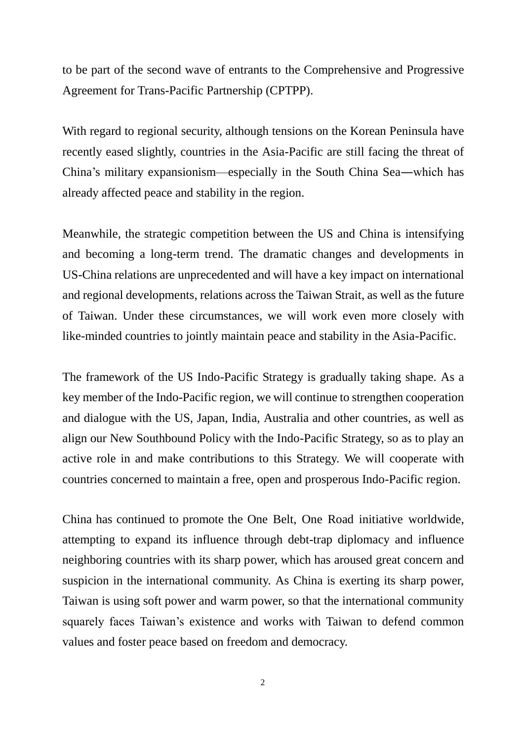to be part of the second wave of entrants to the Comprehensive and Progressive Agreement for Trans-Pacific Partnership (CPTPP).

With regard to regional security, although tensions on the Korean Peninsula have recently eased slightly, countries in the Asia-Pacific are still facing the threat of China's military expansionism—especially in the South China Sea―which has already affected peace and stability in the region.

Meanwhile, the strategic competition between the US and China is intensifying and becoming a long-term trend. The dramatic changes and developments in US-China relations are unprecedented and will have a key impact on international and regional developments, relations across the Taiwan Strait, as well as the future of Taiwan. Under these circumstances, we will work even more closely with like-minded countries to jointly maintain peace and stability in the Asia-Pacific.

The framework of the US Indo-Pacific Strategy is gradually taking shape. As a key member of the Indo-Pacific region, we will continue to strengthen cooperation and dialogue with the US, Japan, India, Australia and other countries, as well as align our New Southbound Policy with the Indo-Pacific Strategy, so as to play an active role in and make contributions to this Strategy. We will cooperate with countries concerned to maintain a free, open and prosperous Indo-Pacific region.

China has continued to promote the One Belt, One Road initiative worldwide, attempting to expand its influence through debt-trap diplomacy and influence neighboring countries with its sharp power, which has aroused great concern and suspicion in the international community. As China is exerting its sharp power, Taiwan is using soft power and warm power, so that the international community squarely faces Taiwan's existence and works with Taiwan to defend common values and foster peace based on freedom and democracy.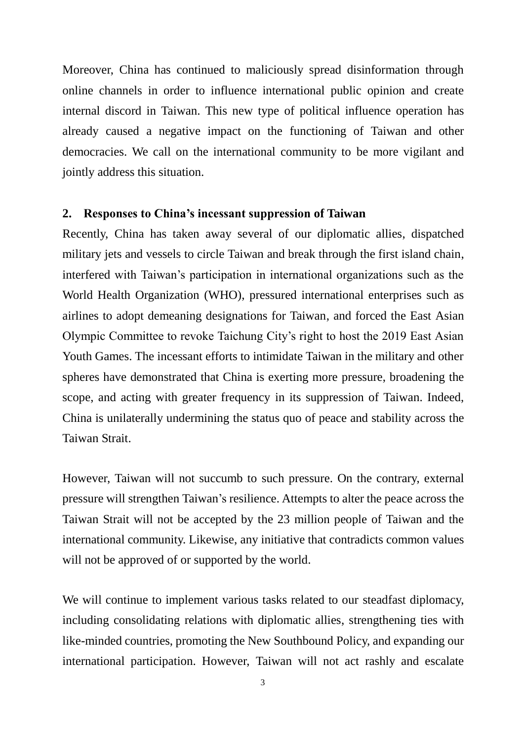Moreover, China has continued to maliciously spread disinformation through online channels in order to influence international public opinion and create internal discord in Taiwan. This new type of political influence operation has already caused a negative impact on the functioning of Taiwan and other democracies. We call on the international community to be more vigilant and jointly address this situation.

#### **2. Responses to China's incessant suppression of Taiwan**

Recently, China has taken away several of our diplomatic allies, dispatched military jets and vessels to circle Taiwan and break through the first island chain, interfered with Taiwan's participation in international organizations such as the World Health Organization (WHO), pressured international enterprises such as airlines to adopt demeaning designations for Taiwan, and forced the East Asian Olympic Committee to revoke Taichung City's right to host the 2019 East Asian Youth Games. The incessant efforts to intimidate Taiwan in the military and other spheres have demonstrated that China is exerting more pressure, broadening the scope, and acting with greater frequency in its suppression of Taiwan. Indeed, China is unilaterally undermining the status quo of peace and stability across the Taiwan Strait.

However, Taiwan will not succumb to such pressure. On the contrary, external pressure will strengthen Taiwan's resilience. Attempts to alter the peace across the Taiwan Strait will not be accepted by the 23 million people of Taiwan and the international community. Likewise, any initiative that contradicts common values will not be approved of or supported by the world.

We will continue to implement various tasks related to our steadfast diplomacy, including consolidating relations with diplomatic allies, strengthening ties with like-minded countries, promoting the New Southbound Policy, and expanding our international participation. However, Taiwan will not act rashly and escalate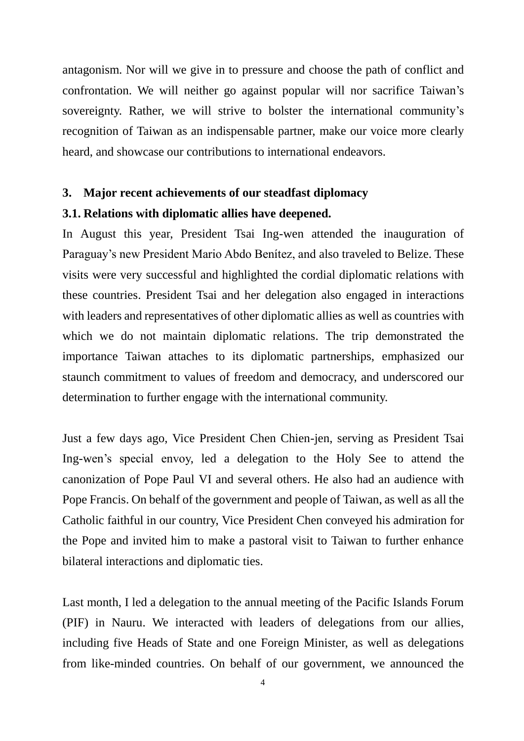antagonism. Nor will we give in to pressure and choose the path of conflict and confrontation. We will neither go against popular will nor sacrifice Taiwan's sovereignty. Rather, we will strive to bolster the international community's recognition of Taiwan as an indispensable partner, make our voice more clearly heard, and showcase our contributions to international endeavors.

### **3. Major recent achievements of our steadfast diplomacy**

## **3.1. Relations with diplomatic allies have deepened.**

In August this year, President Tsai Ing-wen attended the inauguration of Paraguay's new President Mario Abdo Benítez, and also traveled to Belize. These visits were very successful and highlighted the cordial diplomatic relations with these countries. President Tsai and her delegation also engaged in interactions with leaders and representatives of other diplomatic allies as well as countries with which we do not maintain diplomatic relations. The trip demonstrated the importance Taiwan attaches to its diplomatic partnerships, emphasized our staunch commitment to values of freedom and democracy, and underscored our determination to further engage with the international community.

Just a few days ago, Vice President Chen Chien-jen, serving as President Tsai Ing-wen's special envoy, led a delegation to the Holy See to attend the canonization of Pope Paul VI and several others. He also had an audience with Pope Francis. On behalf of the government and people of Taiwan, as well as all the Catholic faithful in our country, Vice President Chen conveyed his admiration for the Pope and invited him to make a pastoral visit to Taiwan to further enhance bilateral interactions and diplomatic ties.

Last month, I led a delegation to the annual meeting of the Pacific Islands Forum (PIF) in Nauru. We interacted with leaders of delegations from our allies, including five Heads of State and one Foreign Minister, as well as delegations from like-minded countries. On behalf of our government, we announced the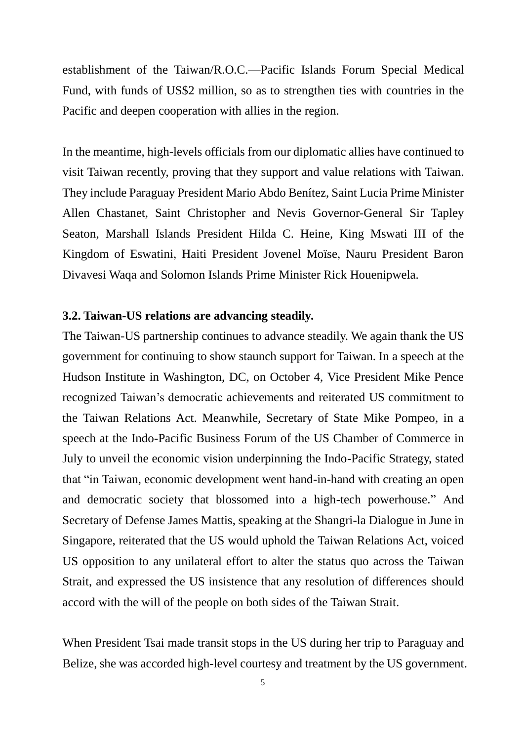establishment of the Taiwan/R.O.C.—Pacific Islands Forum Special Medical Fund, with funds of US\$2 million, so as to strengthen ties with countries in the Pacific and deepen cooperation with allies in the region.

In the meantime, high-levels officials from our diplomatic allies have continued to visit Taiwan recently, proving that they support and value relations with Taiwan. They include Paraguay President Mario Abdo Benítez, Saint Lucia Prime Minister Allen Chastanet, Saint Christopher and Nevis Governor-General Sir Tapley Seaton, Marshall Islands President Hilda C. Heine, King Mswati III of the Kingdom of Eswatini, Haiti President Jovenel Moïse, Nauru President Baron Divavesi Waqa and Solomon Islands Prime Minister Rick Houenipwela.

#### **3.2. Taiwan-US relations are advancing steadily.**

The Taiwan-US partnership continues to advance steadily. We again thank the US government for continuing to show staunch support for Taiwan. In a speech at the Hudson Institute in Washington, DC, on October 4, Vice President Mike Pence recognized Taiwan's democratic achievements and reiterated US commitment to the Taiwan Relations Act. Meanwhile, Secretary of State Mike Pompeo, in a speech at the Indo-Pacific Business Forum of the US Chamber of Commerce in July to unveil the economic vision underpinning the Indo-Pacific Strategy, stated that "in Taiwan, economic development went hand-in-hand with creating an open and democratic society that blossomed into a high-tech powerhouse." And Secretary of Defense James Mattis, speaking at the Shangri-la Dialogue in June in Singapore, reiterated that the US would uphold the Taiwan Relations Act, voiced US opposition to any unilateral effort to alter the status quo across the Taiwan Strait, and expressed the US insistence that any resolution of differences should accord with the will of the people on both sides of the Taiwan Strait.

When President Tsai made transit stops in the US during her trip to Paraguay and Belize, she was accorded high-level courtesy and treatment by the US government.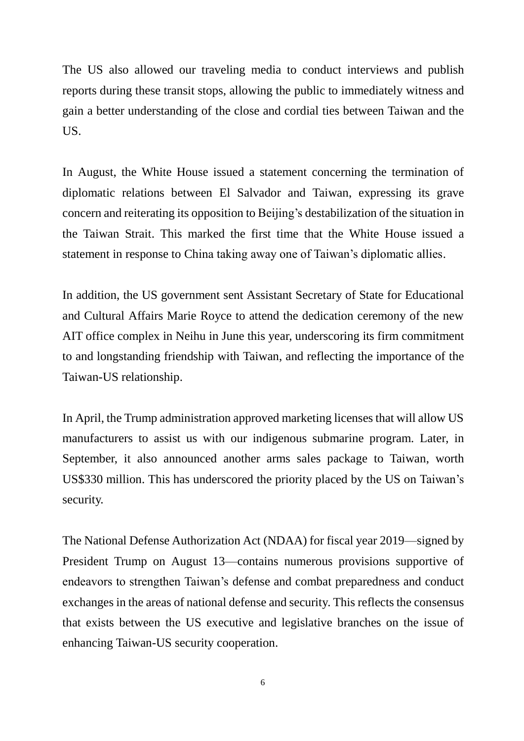The US also allowed our traveling media to conduct interviews and publish reports during these transit stops, allowing the public to immediately witness and gain a better understanding of the close and cordial ties between Taiwan and the US.

In August, the White House issued a statement concerning the termination of diplomatic relations between El Salvador and Taiwan, expressing its grave concern and reiterating its opposition to Beijing's destabilization of the situation in the Taiwan Strait. This marked the first time that the White House issued a statement in response to China taking away one of Taiwan's diplomatic allies.

In addition, the US government sent Assistant Secretary of State for Educational and Cultural Affairs Marie Royce to attend the dedication ceremony of the new AIT office complex in Neihu in June this year, underscoring its firm commitment to and longstanding friendship with Taiwan, and reflecting the importance of the Taiwan-US relationship.

In April, the Trump administration approved marketing licenses that will allow US manufacturers to assist us with our indigenous submarine program. Later, in September, it also announced another arms sales package to Taiwan, worth US\$330 million. This has underscored the priority placed by the US on Taiwan's security.

The National Defense Authorization Act (NDAA) for fiscal year 2019—signed by President Trump on August 13—contains numerous provisions supportive of endeavors to strengthen Taiwan's defense and combat preparedness and conduct exchanges in the areas of national defense and security. This reflects the consensus that exists between the US executive and legislative branches on the issue of enhancing Taiwan-US security cooperation.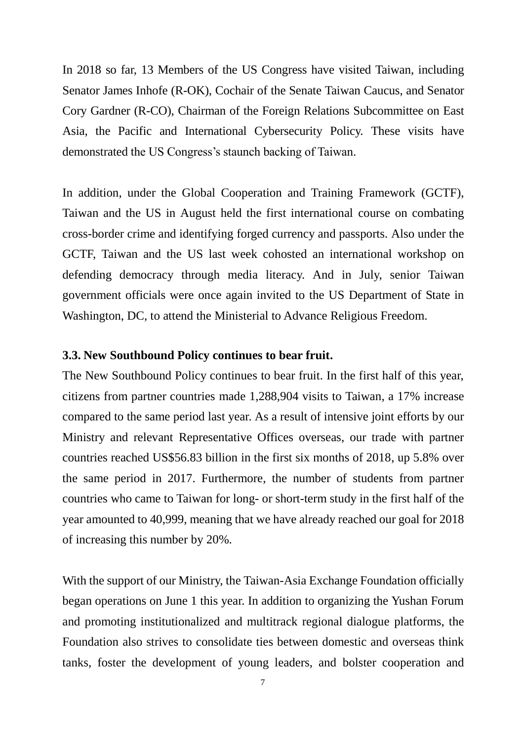In 2018 so far, 13 Members of the US Congress have visited Taiwan, including Senator James Inhofe (R-OK), Cochair of the Senate Taiwan Caucus, and Senator Cory Gardner (R-CO), Chairman of the Foreign Relations Subcommittee on East Asia, the Pacific and International Cybersecurity Policy. These visits have demonstrated the US Congress's staunch backing of Taiwan.

In addition, under the Global Cooperation and Training Framework (GCTF), Taiwan and the US in August held the first international course on combating cross-border crime and identifying forged currency and passports. Also under the GCTF, Taiwan and the US last week cohosted an international workshop on defending democracy through media literacy. And in July, senior Taiwan government officials were once again invited to the US Department of State in Washington, DC, to attend the Ministerial to Advance Religious Freedom.

#### **3.3. New Southbound Policy continues to bear fruit.**

The New Southbound Policy continues to bear fruit. In the first half of this year, citizens from partner countries made 1,288,904 visits to Taiwan, a 17% increase compared to the same period last year. As a result of intensive joint efforts by our Ministry and relevant Representative Offices overseas, our trade with partner countries reached US\$56.83 billion in the first six months of 2018, up 5.8% over the same period in 2017. Furthermore, the number of students from partner countries who came to Taiwan for long- or short-term study in the first half of the year amounted to 40,999, meaning that we have already reached our goal for 2018 of increasing this number by 20%.

With the support of our Ministry, the Taiwan-Asia Exchange Foundation officially began operations on June 1 this year. In addition to organizing the Yushan Forum and promoting institutionalized and multitrack regional dialogue platforms, the Foundation also strives to consolidate ties between domestic and overseas think tanks, foster the development of young leaders, and bolster cooperation and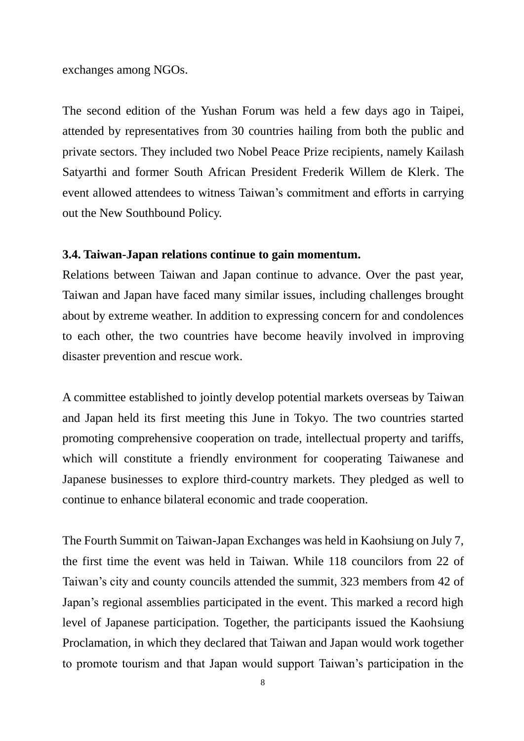exchanges among NGOs.

The second edition of the Yushan Forum was held a few days ago in Taipei, attended by representatives from 30 countries hailing from both the public and private sectors. They included two Nobel Peace Prize recipients, namely Kailash Satyarthi and former South African President Frederik Willem de Klerk. The event allowed attendees to witness Taiwan's commitment and efforts in carrying out the New Southbound Policy.

#### **3.4. Taiwan-Japan relations continue to gain momentum.**

Relations between Taiwan and Japan continue to advance. Over the past year, Taiwan and Japan have faced many similar issues, including challenges brought about by extreme weather. In addition to expressing concern for and condolences to each other, the two countries have become heavily involved in improving disaster prevention and rescue work.

A committee established to jointly develop potential markets overseas by Taiwan and Japan held its first meeting this June in Tokyo. The two countries started promoting comprehensive cooperation on trade, intellectual property and tariffs, which will constitute a friendly environment for cooperating Taiwanese and Japanese businesses to explore third-country markets. They pledged as well to continue to enhance bilateral economic and trade cooperation.

The Fourth Summit on Taiwan-Japan Exchanges was held in Kaohsiung on July 7, the first time the event was held in Taiwan. While 118 councilors from 22 of Taiwan's city and county councils attended the summit, 323 members from 42 of Japan's regional assemblies participated in the event. This marked a record high level of Japanese participation. Together, the participants issued the Kaohsiung Proclamation, in which they declared that Taiwan and Japan would work together to promote tourism and that Japan would support Taiwan's participation in the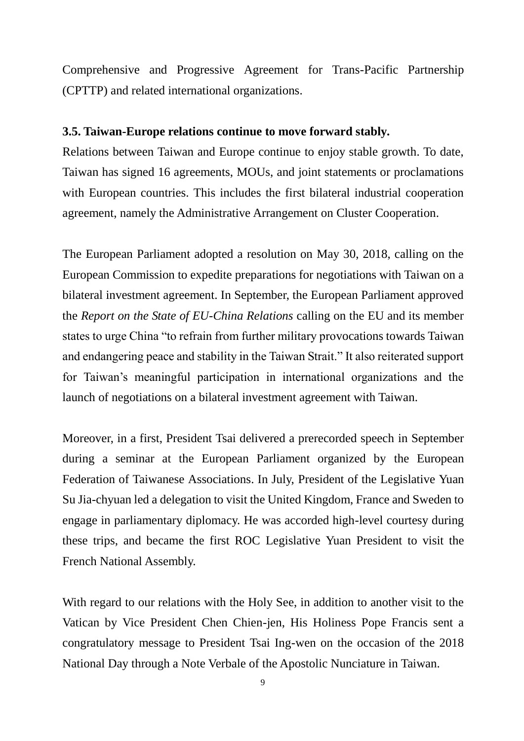Comprehensive and Progressive Agreement for Trans-Pacific Partnership (CPTTP) and related international organizations.

#### **3.5. Taiwan-Europe relations continue to move forward stably.**

Relations between Taiwan and Europe continue to enjoy stable growth. To date, Taiwan has signed 16 agreements, MOUs, and joint statements or proclamations with European countries. This includes the first bilateral industrial cooperation agreement, namely the Administrative Arrangement on Cluster Cooperation.

The European Parliament adopted a resolution on May 30, 2018, calling on the European Commission to expedite preparations for negotiations with Taiwan on a bilateral investment agreement. In September, the European Parliament approved the *Report on the State of EU-China Relations* calling on the EU and its member states to urge China "to refrain from further military provocations towards Taiwan and endangering peace and stability in the Taiwan Strait." It also reiterated support for Taiwan's meaningful participation in international organizations and the launch of negotiations on a bilateral investment agreement with Taiwan.

Moreover, in a first, President Tsai delivered a prerecorded speech in September during a seminar at the European Parliament organized by the European Federation of Taiwanese Associations. In July, President of the Legislative Yuan Su Jia-chyuan led a delegation to visit the United Kingdom, France and Sweden to engage in parliamentary diplomacy. He was accorded high-level courtesy during these trips, and became the first ROC Legislative Yuan President to visit the French National Assembly.

With regard to our relations with the Holy See, in addition to another visit to the Vatican by Vice President Chen Chien-jen, His Holiness Pope Francis sent a congratulatory message to President Tsai Ing-wen on the occasion of the 2018 National Day through a Note Verbale of the Apostolic Nunciature in Taiwan.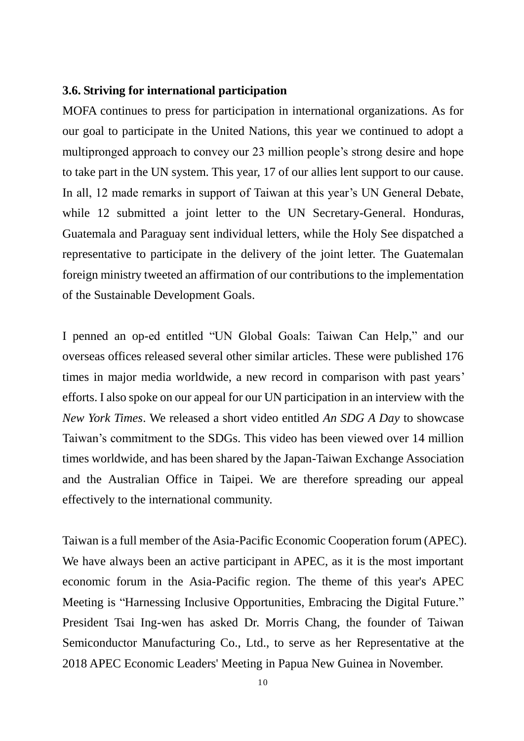#### **3.6. Striving for international participation**

MOFA continues to press for participation in international organizations. As for our goal to participate in the United Nations, this year we continued to adopt a multipronged approach to convey our 23 million people's strong desire and hope to take part in the UN system. This year, 17 of our allies lent support to our cause. In all, 12 made remarks in support of Taiwan at this year's UN General Debate, while 12 submitted a joint letter to the UN Secretary-General. Honduras, Guatemala and Paraguay sent individual letters, while the Holy See dispatched a representative to participate in the delivery of the joint letter. The Guatemalan foreign ministry tweeted an affirmation of our contributions to the implementation of the Sustainable Development Goals.

I penned an op-ed entitled "UN Global Goals: Taiwan Can Help," and our overseas offices released several other similar articles. These were published 176 times in major media worldwide, a new record in comparison with past years' efforts. I also spoke on our appeal for our UN participation in an interview with the *New York Times*. We released a short video entitled *An SDG A Day* to showcase Taiwan's commitment to the SDGs. This video has been viewed over 14 million times worldwide, and has been shared by the Japan-Taiwan Exchange Association and the Australian Office in Taipei. We are therefore spreading our appeal effectively to the international community.

Taiwan is a full member of the Asia-Pacific Economic Cooperation forum (APEC). We have always been an active participant in APEC, as it is the most important economic forum in the Asia-Pacific region. The theme of this year's APEC Meeting is "Harnessing Inclusive Opportunities, Embracing the Digital Future." President Tsai Ing-wen has asked Dr. Morris Chang, the founder of Taiwan Semiconductor Manufacturing Co., Ltd., to serve as her Representative at the 2018 APEC Economic Leaders' Meeting in Papua New Guinea in November.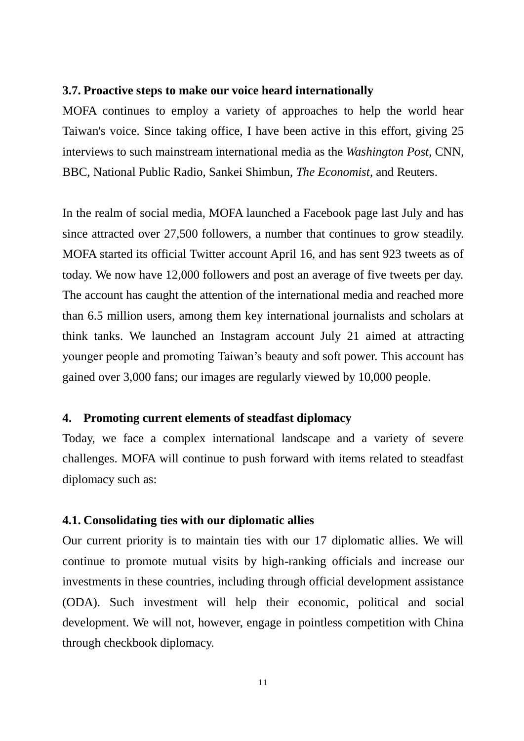#### **3.7. Proactive steps to make our voice heard internationally**

MOFA continues to employ a variety of approaches to help the world hear Taiwan's voice. Since taking office, I have been active in this effort, giving 25 interviews to such mainstream international media as the *Washington Post*, CNN, BBC, National Public Radio, Sankei Shimbun, *The Economist*, and Reuters.

In the realm of social media, MOFA launched a Facebook page last July and has since attracted over 27,500 followers, a number that continues to grow steadily. MOFA started its official Twitter account April 16, and has sent 923 tweets as of today. We now have 12,000 followers and post an average of five tweets per day. The account has caught the attention of the international media and reached more than 6.5 million users, among them key international journalists and scholars at think tanks. We launched an Instagram account July 21 aimed at attracting younger people and promoting Taiwan's beauty and soft power. This account has gained over 3,000 fans; our images are regularly viewed by 10,000 people.

#### **4. Promoting current elements of steadfast diplomacy**

Today, we face a complex international landscape and a variety of severe challenges. MOFA will continue to push forward with items related to steadfast diplomacy such as:

#### **4.1. Consolidating ties with our diplomatic allies**

Our current priority is to maintain ties with our 17 diplomatic allies. We will continue to promote mutual visits by high-ranking officials and increase our investments in these countries, including through official development assistance (ODA). Such investment will help their economic, political and social development. We will not, however, engage in pointless competition with China through checkbook diplomacy.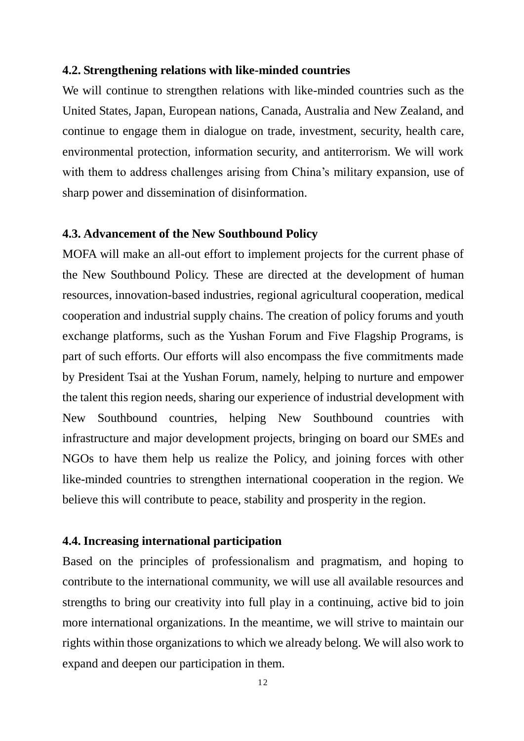#### **4.2. Strengthening relations with like-minded countries**

We will continue to strengthen relations with like-minded countries such as the United States, Japan, European nations, Canada, Australia and New Zealand, and continue to engage them in dialogue on trade, investment, security, health care, environmental protection, information security, and antiterrorism. We will work with them to address challenges arising from China's military expansion, use of sharp power and dissemination of disinformation.

#### **4.3. Advancement of the New Southbound Policy**

MOFA will make an all-out effort to implement projects for the current phase of the New Southbound Policy. These are directed at the development of human resources, innovation-based industries, regional agricultural cooperation, medical cooperation and industrial supply chains. The creation of policy forums and youth exchange platforms, such as the Yushan Forum and Five Flagship Programs, is part of such efforts. Our efforts will also encompass the five commitments made by President Tsai at the Yushan Forum, namely, helping to nurture and empower the talent this region needs, sharing our experience of industrial development with New Southbound countries, helping New Southbound countries with infrastructure and major development projects, bringing on board our SMEs and NGOs to have them help us realize the Policy, and joining forces with other like-minded countries to strengthen international cooperation in the region. We believe this will contribute to peace, stability and prosperity in the region.

#### **4.4. Increasing international participation**

Based on the principles of professionalism and pragmatism, and hoping to contribute to the international community, we will use all available resources and strengths to bring our creativity into full play in a continuing, active bid to join more international organizations. In the meantime, we will strive to maintain our rights within those organizations to which we already belong. We will also work to expand and deepen our participation in them.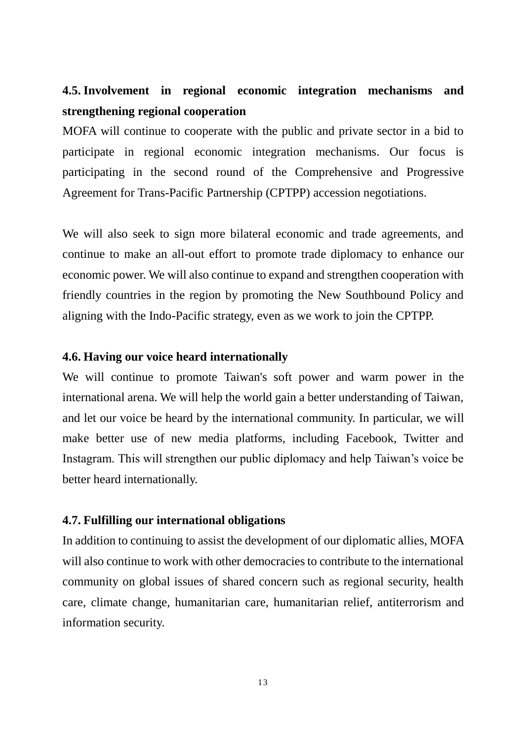## **4.5. Involvement in regional economic integration mechanisms and strengthening regional cooperation**

MOFA will continue to cooperate with the public and private sector in a bid to participate in regional economic integration mechanisms. Our focus is participating in the second round of the Comprehensive and Progressive Agreement for Trans-Pacific Partnership (CPTPP) accession negotiations.

We will also seek to sign more bilateral economic and trade agreements, and continue to make an all-out effort to promote trade diplomacy to enhance our economic power. We will also continue to expand and strengthen cooperation with friendly countries in the region by promoting the New Southbound Policy and aligning with the Indo-Pacific strategy, even as we work to join the CPTPP.

#### **4.6. Having our voice heard internationally**

We will continue to promote Taiwan's soft power and warm power in the international arena. We will help the world gain a better understanding of Taiwan, and let our voice be heard by the international community. In particular, we will make better use of new media platforms, including Facebook, Twitter and Instagram. This will strengthen our public diplomacy and help Taiwan's voice be better heard internationally.

#### **4.7. Fulfilling our international obligations**

In addition to continuing to assist the development of our diplomatic allies, MOFA will also continue to work with other democracies to contribute to the international community on global issues of shared concern such as regional security, health care, climate change, humanitarian care, humanitarian relief, antiterrorism and information security.